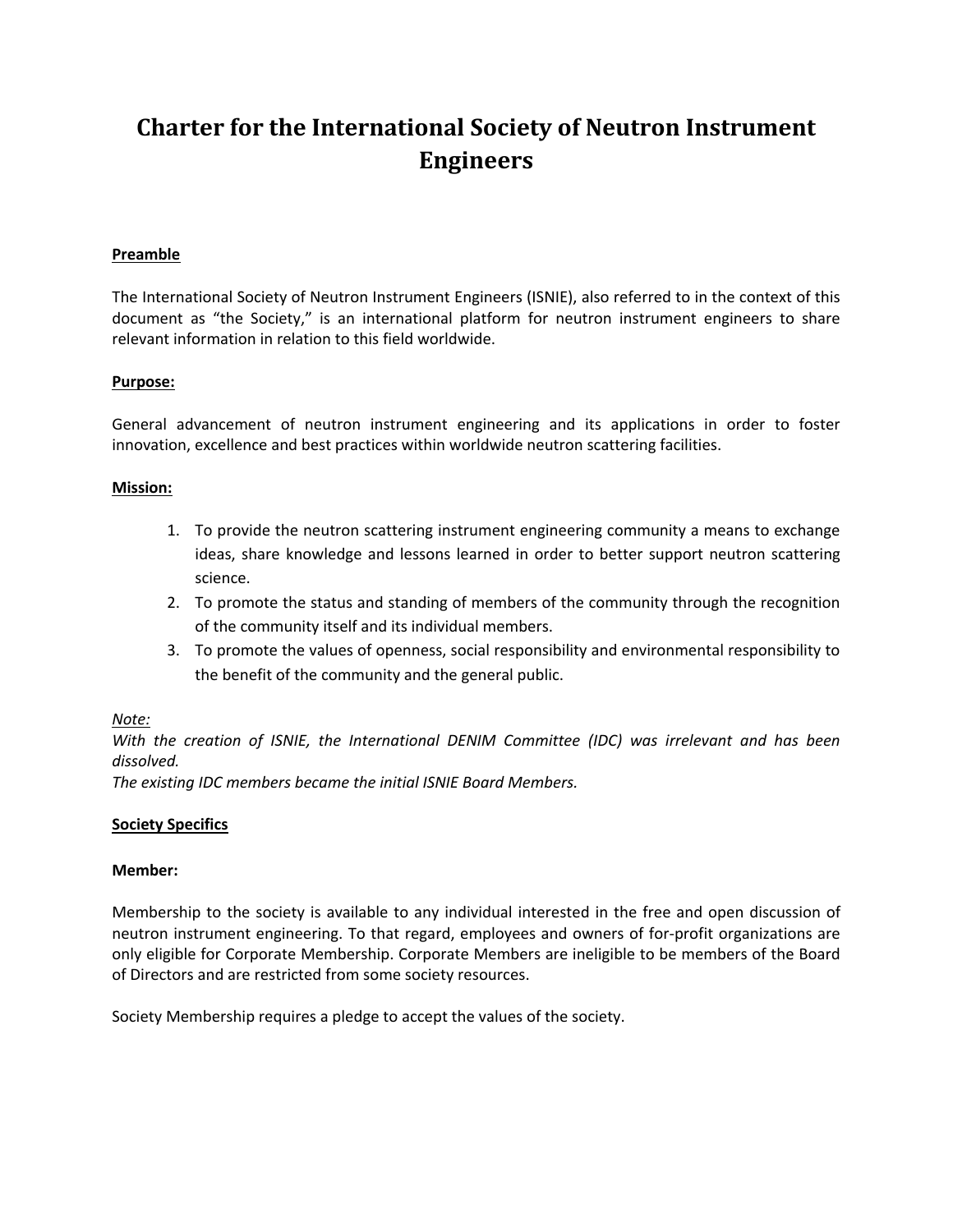# **Charter for the International Society of Neutron Instrument Engineers**

# **Preamble**

The International Society of Neutron Instrument Engineers (ISNIE), also referred to in the context of this document as "the Society," is an international platform for neutron instrument engineers to share relevant information in relation to this field worldwide.

# **Purpose:**

General advancement of neutron instrument engineering and its applications in order to foster innovation, excellence and best practices within worldwide neutron scattering facilities.

# **Mission:**

- 1. To provide the neutron scattering instrument engineering community a means to exchange ideas, share knowledge and lessons learned in order to better support neutron scattering science.
- 2. To promote the status and standing of members of the community through the recognition of the community itself and its individual members.
- 3. To promote the values of openness, social responsibility and environmental responsibility to the benefit of the community and the general public.

# *Note:*

*With the creation of ISNIE, the International DENIM Committee (IDC) was irrelevant and has been dissolved.* 

*The existing IDC members became the initial ISNIE Board Members.*

# **Society Specifics**

#### **Member:**

Membership to the society is available to any individual interested in the free and open discussion of neutron instrument engineering. To that regard, employees and owners of for-profit organizations are only eligible for Corporate Membership. Corporate Members are ineligible to be members of the Board of Directors and are restricted from some society resources.

Society Membership requires a pledge to accept the values of the society.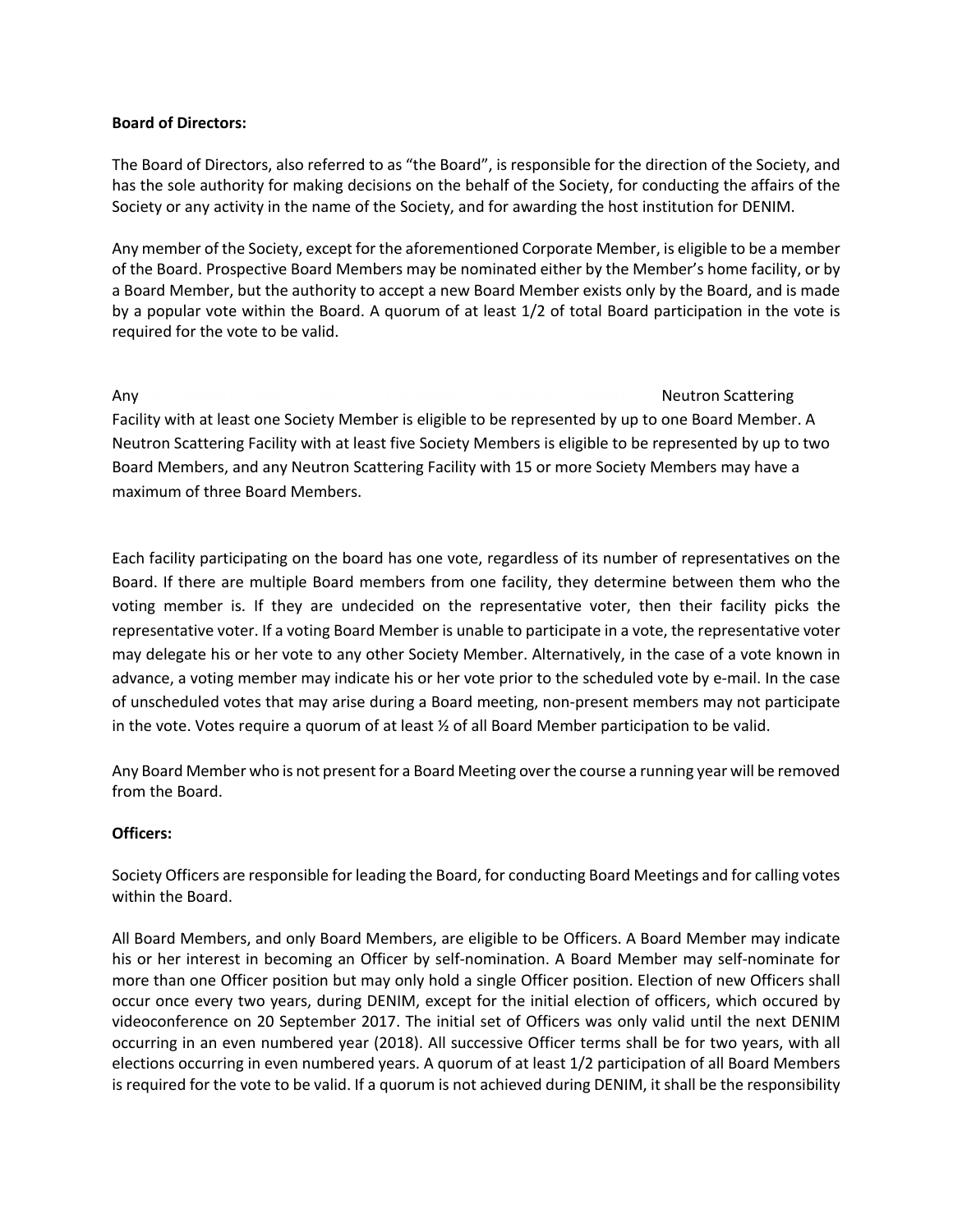## **Board of Directors:**

The Board of Directors, also referred to as "the Board", is responsible for the direction of the Society, and has the sole authority for making decisions on the behalf of the Society, for conducting the affairs of the Society or any activity in the name of the Society, and for awarding the host institution for DENIM.

Any member of the Society, except for the aforementioned Corporate Member, is eligible to be a member of the Board. Prospective Board Members may be nominated either by the Member's home facility, or by a Board Member, but the authority to accept a new Board Member exists only by the Board, and is made by a popular vote within the Board. A quorum of at least 1/2 of total Board participation in the vote is required for the vote to be valid.

#### Any **noncommercial entity involved in the operation, design and support of a** Neutron Scattering

Facility with at least one Society Member is eligible to be represented by up to one Board Member. A Neutron Scattering Facility with at least five Society Members is eligible to be represented by up to two Board Members, and any Neutron Scattering Facility with 15 or more Society Members may have a maximum of three Board Members.

Each facility participating on the board has one vote, regardless of its number of representatives on the Board. If there are multiple Board members from one facility, they determine between them who the voting member is. If they are undecided on the representative voter, then their facility picks the representative voter. If a voting Board Member is unable to participate in a vote, the representative voter may delegate his or her vote to any other Society Member. Alternatively, in the case of a vote known in advance, a voting member may indicate his or her vote prior to the scheduled vote by e-mail. In the case of unscheduled votes that may arise during a Board meeting, non-present members may not participate in the vote. Votes require a quorum of at least ½ of all Board Member participation to be valid.

Any Board Member who is not present for a Board Meeting over the course a running year will be removed from the Board.

# **Officers:**

Society Officers are responsible for leading the Board, for conducting Board Meetings and for calling votes within the Board.

All Board Members, and only Board Members, are eligible to be Officers. A Board Member may indicate his or her interest in becoming an Officer by self-nomination. A Board Member may self-nominate for more than one Officer position but may only hold a single Officer position. Election of new Officers shall occur once every two years, during DENIM, except for the initial election of officers, which occured by videoconference on 20 September 2017. The initial set of Officers was only valid until the next DENIM occurring in an even numbered year (2018). All successive Officer terms shall be for two years, with all elections occurring in even numbered years. A quorum of at least 1/2 participation of all Board Members is required for the vote to be valid. If a quorum is not achieved during DENIM, it shall be the responsibility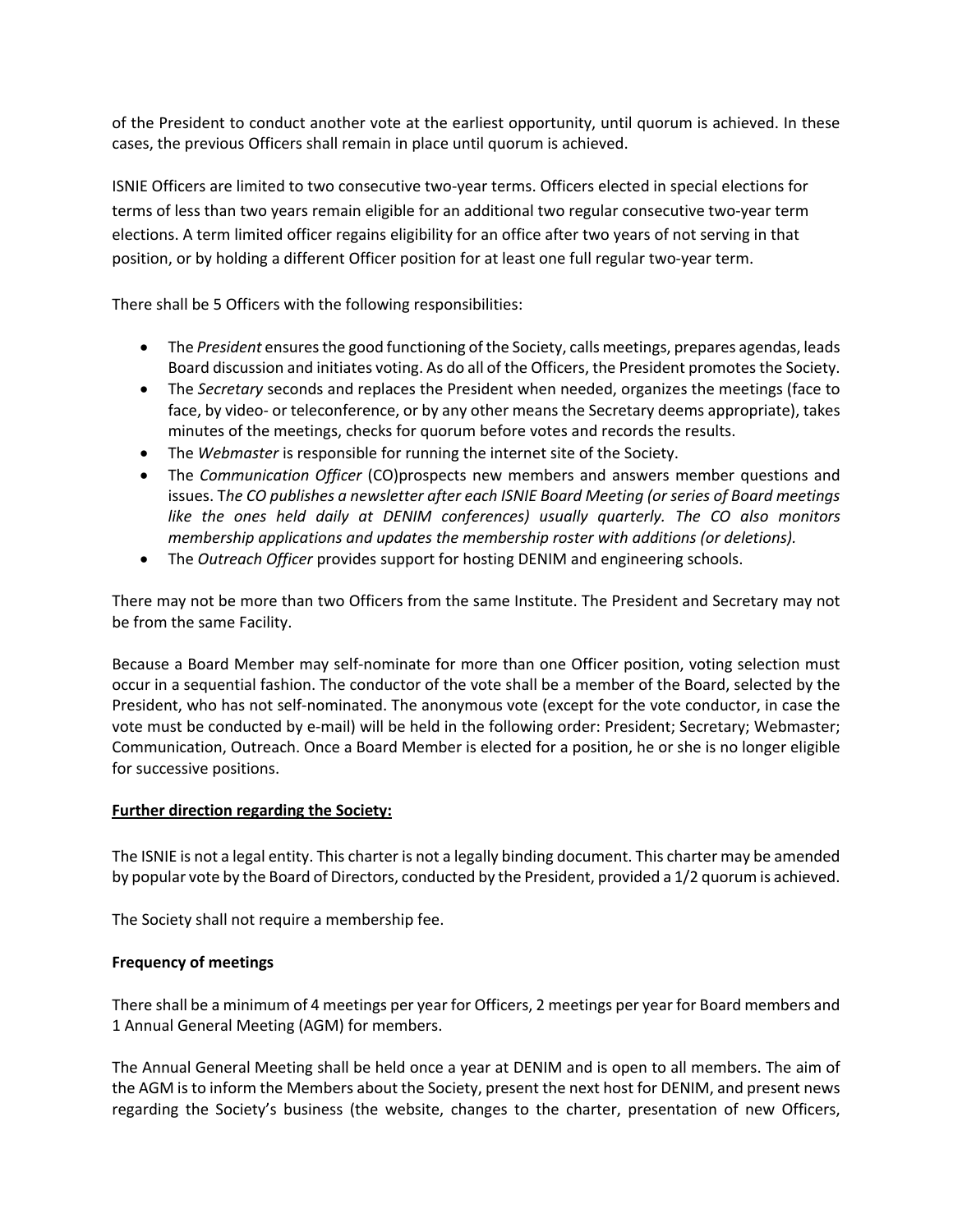of the President to conduct another vote at the earliest opportunity, until quorum is achieved. In these cases, the previous Officers shall remain in place until quorum is achieved.

ISNIE Officers are limited to two consecutive two-year terms. Officers elected in special elections for terms of less than two years remain eligible for an additional two regular consecutive two-year term elections. A term limited officer regains eligibility for an office after two years of not serving in that position, or by holding a different Officer position for at least one full regular two-year term.

There shall be 5 Officers with the following responsibilities:

- The *President* ensures the good functioning of the Society, calls meetings, prepares agendas, leads Board discussion and initiates voting. As do all of the Officers, the President promotes the Society.
- The *Secretary* seconds and replaces the President when needed, organizes the meetings (face to face, by video- or teleconference, or by any other means the Secretary deems appropriate), takes minutes of the meetings, checks for quorum before votes and records the results.
- The *Webmaster* is responsible for running the internet site of the Society.
- The *Communication Officer* (CO)prospects new members and answers member questions and issues. T*he CO publishes a newsletter after each ISNIE Board Meeting (or series of Board meetings like the ones held daily at DENIM conferences) usually quarterly. The CO also monitors membership applications and updates the membership roster with additions (or deletions).*
- The *Outreach Officer* provides support for hosting DENIM and engineering schools.

There may not be more than two Officers from the same Institute. The President and Secretary may not be from the same Facility.

Because a Board Member may self-nominate for more than one Officer position, voting selection must occur in a sequential fashion. The conductor of the vote shall be a member of the Board, selected by the President, who has not self-nominated. The anonymous vote (except for the vote conductor, in case the vote must be conducted by e-mail) will be held in the following order: President; Secretary; Webmaster; Communication, Outreach. Once a Board Member is elected for a position, he or she is no longer eligible for successive positions.

# **Further direction regarding the Society:**

The ISNIE is not a legal entity. This charter is not a legally binding document. This charter may be amended by popular vote by the Board of Directors, conducted by the President, provided a 1/2 quorum is achieved.

The Society shall not require a membership fee.

# **Frequency of meetings**

There shall be a minimum of 4 meetings per year for Officers, 2 meetings per year for Board members and 1 Annual General Meeting (AGM) for members.

The Annual General Meeting shall be held once a year at DENIM and is open to all members. The aim of the AGM is to inform the Members about the Society, present the next host for DENIM, and present news regarding the Society's business (the website, changes to the charter, presentation of new Officers,